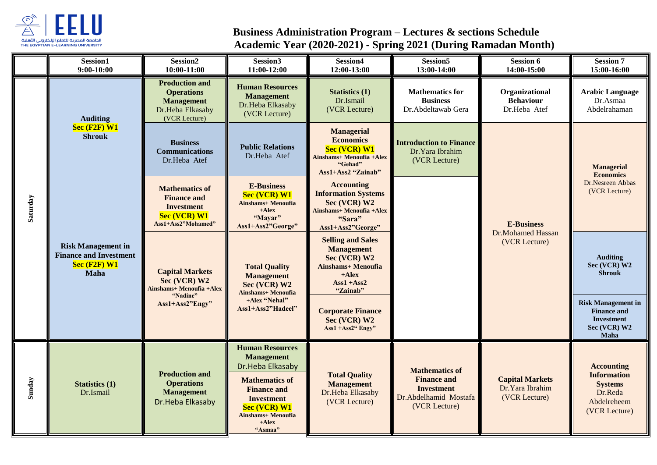

## **Business Administration Program – Lectures & sections Schedule Academic Year (2020-2021) - Spring 2021 (During Ramadan Month)**

|          | Session1<br>$9:00-10:00$                                                           | Session <sub>2</sub><br>10:00-11:00                                                                           | Session3<br>11:00-12:00                                                                                                                                                                                       | Session4<br>12:00-13:00                                                                                                            | Session <sub>5</sub><br>13:00-14:00                                                                        | <b>Session 6</b><br>14:00-15:00                            | <b>Session 7</b><br>15:00-16:00                                                                      |
|----------|------------------------------------------------------------------------------------|---------------------------------------------------------------------------------------------------------------|---------------------------------------------------------------------------------------------------------------------------------------------------------------------------------------------------------------|------------------------------------------------------------------------------------------------------------------------------------|------------------------------------------------------------------------------------------------------------|------------------------------------------------------------|------------------------------------------------------------------------------------------------------|
|          | <b>Auditing</b><br>$Sec$ (F2F) $W1$<br><b>Shrouk</b>                               | <b>Production and</b><br><b>Operations</b><br><b>Management</b><br>Dr.Heba Elkasaby<br>(VCR Lecture)          | <b>Human Resources</b><br><b>Management</b><br>Dr.Heba Elkasaby<br>(VCR Lecture)                                                                                                                              | <b>Statistics (1)</b><br>Dr.Ismail<br>(VCR Lecture)                                                                                | <b>Mathematics for</b><br><b>Business</b><br>Dr.Abdeltawab Gera                                            | Organizational<br><b>Behaviour</b><br>Dr.Heba Atef         | <b>Arabic Language</b><br>Dr.Asmaa<br>Abdelrahaman                                                   |
|          |                                                                                    | <b>Business</b><br><b>Communications</b><br>Dr.Heba Atef                                                      | <b>Public Relations</b><br>Dr.Heba Atef                                                                                                                                                                       | <b>Managerial</b><br><b>Economics</b><br><b>Sec (VCR) W1</b><br><b>Ainshams+ Menoufia +Alex</b><br>"Gehad"<br>Ass1+Ass2 "Zainab"   | <b>Introduction to Finance</b><br>Dr.Yara Ibrahim<br>(VCR Lecture)                                         | <b>E-Business</b><br>Dr.Mohamed Hassan<br>(VCR Lecture)    | <b>Managerial</b><br><b>Economics</b><br>Dr.Nesreen Abbas<br>(VCR Lecture)                           |
| Saturday | <b>Risk Management in</b><br><b>Finance and Investment</b><br>Sec (F2F) W1<br>Maha | <b>Mathematics of</b><br><b>Finance and</b><br><b>Investment</b><br><b>Sec (VCR) W1</b><br>Ass1+Ass2"Mohamed" | <b>E-Business</b><br><b>Sec (VCR) W1</b><br><b>Ainshams+ Menoufia</b><br>$+Alex$<br>"Mayar"<br>Ass1+Ass2"George"                                                                                              | <b>Accounting</b><br><b>Information Systems</b><br>Sec (VCR) W2<br>Ainshams+ Menoufia + Alex<br>"Sara"<br>Ass1+Ass2"George"        |                                                                                                            |                                                            |                                                                                                      |
|          |                                                                                    | <b>Capital Markets</b><br>Sec (VCR) W2<br><b>Ainshams+ Menoufia +Alex</b><br>"Nadine"<br>Ass1+Ass2"Engy"      | <b>Total Quality</b><br><b>Management</b><br>Sec (VCR) W2<br>Ainshams+ Menoufia<br>+Alex "Nehal"<br>Ass1+Ass2"Hadeel"                                                                                         | <b>Selling and Sales</b><br><b>Management</b><br>Sec (VCR) W2<br><b>Ainshams+ Menoufia</b><br>$+Alex$<br>$Ass1 + Ass2$<br>"Zainab" |                                                                                                            |                                                            | <b>Auditing</b><br>Sec (VCR) W2<br><b>Shrouk</b>                                                     |
|          |                                                                                    |                                                                                                               |                                                                                                                                                                                                               | <b>Corporate Finance</b><br>Sec (VCR) W2<br>Ass1 +Ass2" Engy"                                                                      |                                                                                                            |                                                            | <b>Risk Management in</b><br><b>Finance and</b><br><b>Investment</b><br>Sec (VCR) W2<br>Maha         |
| Sunday   | <b>Statistics (1)</b><br>Dr.Ismail                                                 | <b>Production and</b><br><b>Operations</b><br><b>Management</b><br>Dr.Heba Elkasaby                           | <b>Human Resources</b><br><b>Management</b><br>Dr.Heba Elkasaby<br><b>Mathematics of</b><br><b>Finance and</b><br><b>Investment</b><br><b>Sec (VCR) W1</b><br><b>Ainshams+ Menoufia</b><br>$+Alex$<br>"Asmaa" | <b>Total Quality</b><br><b>Management</b><br>Dr.Heba Elkasaby<br>(VCR Lecture)                                                     | <b>Mathematics of</b><br><b>Finance and</b><br><b>Investment</b><br>Dr.Abdelhamid Mostafa<br>(VCR Lecture) | <b>Capital Markets</b><br>Dr.Yara Ibrahim<br>(VCR Lecture) | <b>Accounting</b><br><b>Information</b><br><b>Systems</b><br>Dr.Reda<br>Abdelreheem<br>(VCR Lecture) |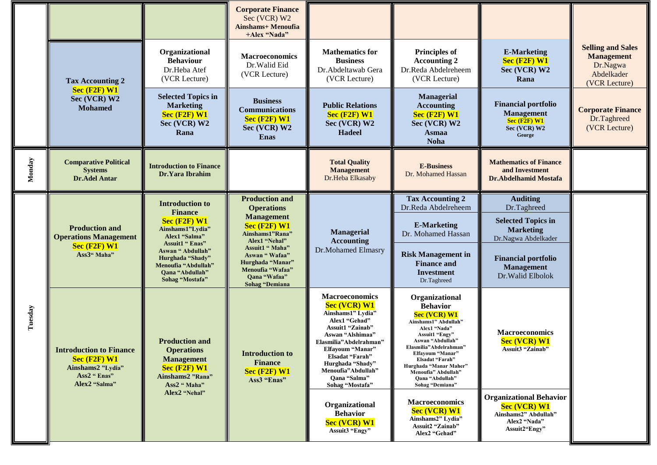|         |                                                                                                          |                                                                                                                                                                                                                                         | <b>Corporate Finance</b><br>Sec (VCR) W2<br><b>Ainshams+ Menoufia</b><br>+Alex "Nada"                                                                                                                                                             |                                                                                                                                                                                                                                                                                 |                                                                                                                                                                                                                                                                                               |                                                                                                                                                                         |                                                                                          |
|---------|----------------------------------------------------------------------------------------------------------|-----------------------------------------------------------------------------------------------------------------------------------------------------------------------------------------------------------------------------------------|---------------------------------------------------------------------------------------------------------------------------------------------------------------------------------------------------------------------------------------------------|---------------------------------------------------------------------------------------------------------------------------------------------------------------------------------------------------------------------------------------------------------------------------------|-----------------------------------------------------------------------------------------------------------------------------------------------------------------------------------------------------------------------------------------------------------------------------------------------|-------------------------------------------------------------------------------------------------------------------------------------------------------------------------|------------------------------------------------------------------------------------------|
|         | <b>Tax Accounting 2</b>                                                                                  | Organizational<br><b>Behaviour</b><br>Dr.Heba Atef<br>(VCR Lecture)                                                                                                                                                                     | <b>Macroeconomics</b><br>Dr.Walid Eid<br>(VCR Lecture)                                                                                                                                                                                            | <b>Mathematics for</b><br><b>Business</b><br>Dr.Abdeltawab Gera<br>(VCR Lecture)                                                                                                                                                                                                | <b>Principles of</b><br><b>Accounting 2</b><br>Dr.Reda Abdelreheem<br>(VCR Lecture)                                                                                                                                                                                                           | <b>E-Marketing</b><br>Sec (F2F) W1<br>Sec (VCR) W2<br>Rana                                                                                                              | <b>Selling and Sales</b><br><b>Management</b><br>Dr.Nagwa<br>Abdelkader<br>(VCR Lecture) |
|         | Sec (F2F) W1<br>Sec (VCR) W2<br><b>Mohamed</b>                                                           | <b>Selected Topics in</b><br><b>Marketing</b><br>Sec (F2F) W1<br>Sec (VCR) W2<br>Rana                                                                                                                                                   | <b>Business</b><br><b>Communications</b><br>Sec (F2F) W1<br>Sec (VCR) W2<br><b>Enas</b>                                                                                                                                                           | <b>Public Relations</b><br>Sec (F2F) W1<br>Sec (VCR) W2<br><b>Hadeel</b>                                                                                                                                                                                                        | Managerial<br><b>Accounting</b><br>Sec (F2F) W1<br>Sec (VCR) W2<br><b>Asmaa</b><br><b>Noha</b>                                                                                                                                                                                                | <b>Financial portfolio</b><br><b>Management</b><br>$Sec$ (F2F) $W1$<br>Sec (VCR) W2<br>George                                                                           | <b>Corporate Finance</b><br>Dr.Taghreed<br>(VCR Lecture)                                 |
| Monday  | <b>Comparative Political</b><br><b>Systems</b><br><b>Dr.Adel Antar</b>                                   | <b>Introduction to Finance</b><br>Dr.Yara Ibrahim                                                                                                                                                                                       |                                                                                                                                                                                                                                                   | <b>Total Quality</b><br><b>Management</b><br>Dr.Heba Elkasaby                                                                                                                                                                                                                   | <b>E-Business</b><br>Dr. Mohamed Hassan                                                                                                                                                                                                                                                       | <b>Mathematics of Finance</b><br>and Investment<br><b>Dr.Abdelhamid Mostafa</b>                                                                                         |                                                                                          |
| Tuesday | <b>Production and</b><br><b>Operations Management</b><br>$Sec$ (F2F) $W1$<br>Ass3" Maha"                 | <b>Introduction to</b><br><b>Finance</b><br>$Sec$ (F2F) $W1$<br>Ainshams1"Lydia"<br>Alex1 "Salma"<br><b>Assuit1 " Enas"</b><br>Aswan "Abdullah"<br>Hurghada "Shady"<br>Menoufia "Abdullah"<br><b>Oana "Abdullah"</b><br>Sohag "Mostafa" | <b>Production and</b><br><b>Operations</b><br><b>Management</b><br>$Sec$ (F2F) W1<br>Ainshams1"Rana"<br>Alex1 "Nehal"<br>Assuit1 " Maha"<br>Aswan "Wafaa"<br>Hurghada "Manar"<br>Menoufia "Wafaa"<br><b>Qana "Wafaa"</b><br><b>Sohag</b> "Demiana | <b>Managerial</b><br><b>Accounting</b><br>Dr.Mohamed Elmasry                                                                                                                                                                                                                    | <b>Tax Accounting 2</b><br>Dr.Reda Abdelreheem<br><b>E-Marketing</b><br>Dr. Mohamed Hassan<br><b>Risk Management in</b><br><b>Finance and</b><br><b>Investment</b><br>Dr.Taghreed                                                                                                             | <b>Auditing</b><br>Dr.Taghreed<br><b>Selected Topics in</b><br><b>Marketing</b><br>Dr.Nagwa Abdelkader<br><b>Financial portfolio</b><br>Management<br>Dr. Walid Elbolok |                                                                                          |
|         | <b>Introduction to Finance</b><br>$Sec$ (F2F) $W1$<br>Ainshams2 "Lydia"<br>Ass2 " Enas"<br>Alex2 "Salma" | <b>Production and</b><br><b>Operations</b><br><b>Management</b><br>$Sec$ (F2F) $W1$<br>Ainshams2 "Rana"<br>Ass2 " Maha"                                                                                                                 | <b>Introduction to</b><br><b>Finance</b><br>$Sec$ (F2F) $W1$<br>Ass3 "Enas"                                                                                                                                                                       | <b>Macroeconomics</b><br><b>Sec (VCR) W1</b><br>Ainshams1" Lydia"<br>Alex1 "Gehad"<br><b>Assuit1 "Zainab"</b><br>Aswan "Alshimaa"<br>Elasmilia"Abdelrahman"<br>Elfavoum "Manar"<br>Elsadat "Farah"<br>Hurghada "Shady"<br>Menoufia"Abdullah"<br>Oana "Salma"<br>Sohag "Mostafa" | Organizational<br><b>Behavior</b><br><b>Sec (VCR) W1</b><br>Ainshams1" Abdullah"<br>Alex1 "Nada"<br>Assuit1 "Engy"<br>Aswan "Abdullah"<br>Elasmilia"Abdelrahman"<br>Elfayoum "Manar<br>Elsadat "Farah"<br>Hurghada "Manar Maher"<br>Menoufia" Abdullah"<br>Qana "Abdullah"<br>Sohag "Demiana" | <b>Macroeconomics</b><br><b>Sec (VCR) W1</b><br>Assuit3 "Zainab"                                                                                                        |                                                                                          |
|         |                                                                                                          | Alex2 "Nehal"                                                                                                                                                                                                                           |                                                                                                                                                                                                                                                   | Organizational<br><b>Behavior</b><br><b>Sec (VCR) W1</b><br>Assuit3 "Engy"                                                                                                                                                                                                      | <b>Macroeconomics</b><br><b>Sec (VCR) W1</b><br>Ainshams2" Lydia"<br>Assuit2 "Zainab"<br>Alex2 "Gehad"                                                                                                                                                                                        | <b>Organizational Behavior</b><br><b>Sec (VCR) W1</b><br>Ainshams2" Abdullah"<br>Alex2 "Nada"<br>Assuit2"Engy"                                                          |                                                                                          |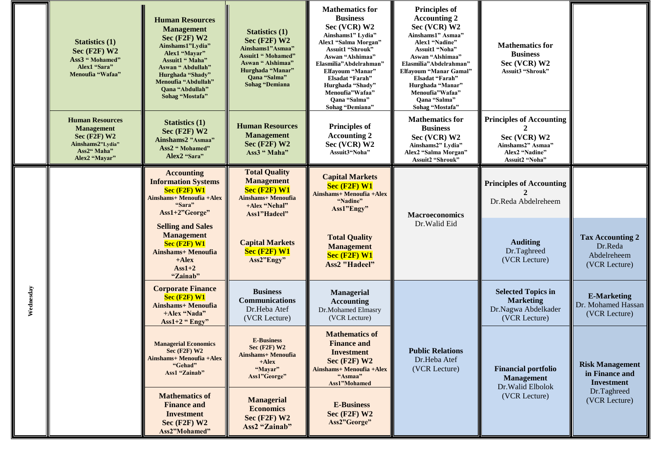|           | <b>Statistics (1)</b><br>Sec $(F2F)$ W2<br>Ass3 "Mohamed"<br>Alex1 "Sara"<br>Menoufia "Wafaa"                     | <b>Human Resources</b><br><b>Management</b><br>$Sec$ (F2F) W2<br>Ainshams1"Lydia"<br>Alex1 "Mayar"<br>Assuit1 " Maha"<br>Aswan "Abdullah"<br>Hurghada "Shady"<br>Menoufia "Abdullah"<br><b>Oana "Abdullah"</b><br>Sohag "Mostafa" | <b>Statistics (1)</b><br>Sec $(F2F)$ W2<br>Ainshams1"Asmaa"<br><b>Assuit1 " Mohamed"</b><br>Aswan " Alshimaa"<br>Hurghada "Manar"<br>Qana "Salma"<br><b>Sohag</b> "Demiana | <b>Mathematics for</b><br><b>Business</b><br>Sec (VCR) W2<br>Ainshams1" Lydia"<br>Alex1 "Salma Morgan"<br>Assuit1 "Shrouk"<br>Aswan "Alshimaa"<br>Elasmilia"Abdelrahman"<br>Elfayoum "Manar"<br>Elsadat "Farah"<br>Hurghada "Shady"<br>Menoufia"Wafaa"<br>Qana "Salma"<br>Sohag "Demiana" | <b>Principles of</b><br><b>Accounting 2</b><br>Sec (VCR) W2<br>Ainshams1" Asmaa"<br>Alex1 "Nadine"<br>Assuit1 "Noha"<br>Aswan "Alshimaa"<br>Elasmilia"Abdelrahman"<br>Elfayoum "Manar Gamal"<br>Elsadat "Farah"<br>Hurghada "Manar"<br>Menoufia"Wafaa"<br>Qana "Salma"<br>Sohag "Mostafa" | <b>Mathematics for</b><br><b>Business</b><br>Sec (VCR) W2<br>Assuit3 "Shrouk"                            |                                                                    |
|-----------|-------------------------------------------------------------------------------------------------------------------|-----------------------------------------------------------------------------------------------------------------------------------------------------------------------------------------------------------------------------------|----------------------------------------------------------------------------------------------------------------------------------------------------------------------------|-------------------------------------------------------------------------------------------------------------------------------------------------------------------------------------------------------------------------------------------------------------------------------------------|-------------------------------------------------------------------------------------------------------------------------------------------------------------------------------------------------------------------------------------------------------------------------------------------|----------------------------------------------------------------------------------------------------------|--------------------------------------------------------------------|
|           | <b>Human Resources</b><br><b>Management</b><br>Sec $(F2F)$ W2<br>Ainshams2"Lydia"<br>Ass2" Maha"<br>Alex2 "Mayar" | <b>Statistics (1)</b><br>Sec $(F2F)$ W2<br>Ainshams2 "Asmaa"<br>Ass2 " Mohamed"<br>Alex2 "Sara"                                                                                                                                   | <b>Human Resources</b><br><b>Management</b><br>Sec $(F2F)$ W2<br>Ass3 "Maha"                                                                                               | <b>Principles of</b><br><b>Accounting 2</b><br>Sec (VCR) W2<br>Assuit3"Noha"                                                                                                                                                                                                              | <b>Mathematics for</b><br><b>Business</b><br>Sec (VCR) W2<br>Ainshams2" Lydia"<br>Alex2 "Salma Morgan"<br>Assuit2 "Shrouk'                                                                                                                                                                | <b>Principles of Accounting</b><br>Sec (VCR) W2<br>Ainshams2" Asmaa"<br>Alex2 "Nadine"<br>Assuit2 "Noha" |                                                                    |
| Wednesday |                                                                                                                   | <b>Accounting</b><br><b>Information Systems</b><br>$Sec$ (F2F) $W1$<br>Ainshams+ Menoufia +Alex<br>"Sara"<br>Ass1+2"George"                                                                                                       | <b>Total Quality</b><br><b>Management</b><br>Sec (F2F) W1<br><b>Ainshams+ Menoufia</b><br>+Alex "Nehal"<br>Ass1"Hadeel"                                                    | <b>Capital Markets</b><br>Sec (F2F) W1<br>Ainshams+ Menoufia + Alex<br>"Nadine"<br>Ass1"Engy"                                                                                                                                                                                             | <b>Macroeconomics</b><br>Dr.Walid Eid                                                                                                                                                                                                                                                     | <b>Principles of Accounting</b><br>Dr.Reda Abdelreheem                                                   |                                                                    |
|           |                                                                                                                   | <b>Selling and Sales</b><br><b>Management</b><br>$Sec$ $(F2F)$ W1<br><b>Ainshams+ Menoufia</b><br>$+Alex$<br>$\text{Ass}1+2$<br>"Zainab"                                                                                          | <b>Capital Markets</b><br>Sec (F2F) W1<br>Ass2"Engy"                                                                                                                       | <b>Total Quality</b><br><b>Management</b><br>Sec (F2F) W1<br><b>Ass2 "Hadeel"</b>                                                                                                                                                                                                         |                                                                                                                                                                                                                                                                                           | <b>Auditing</b><br>Dr.Taghreed<br>(VCR Lecture)                                                          | <b>Tax Accounting 2</b><br>Dr.Reda<br>Abdelreheem<br>(VCR Lecture) |
|           |                                                                                                                   | <b>Corporate Finance</b><br>$Sec$ (F2F) $W1$<br><b>Ainshams+ Menoufia</b><br>+Alex "Nada"<br>Ass $1+2$ " Engy"                                                                                                                    | <b>Business</b><br><b>Communications</b><br>Dr.Heba Atef<br>(VCR Lecture)                                                                                                  | <b>Managerial</b><br><b>Accounting</b><br>Dr.Mohamed Elmasry<br>(VCR Lecture)                                                                                                                                                                                                             |                                                                                                                                                                                                                                                                                           | <b>Selected Topics in</b><br><b>Marketing</b><br>Dr.Nagwa Abdelkader<br>(VCR Lecture)                    | <b>E-Marketing</b><br>Dr. Mohamed Hassan<br>(VCR Lecture)          |
|           |                                                                                                                   | <b>Managerial Economics</b><br>Sec $(F2F)$ W2<br><b>Ainshams+ Menoufia +Alex</b><br>"Gehad"<br>Ass1 "Zainab"                                                                                                                      | <b>E-Business</b><br><b>Sec (F2F) W2</b><br><b>Ainshams+ Menoufia</b><br>$+Alex$<br>"Mayar"<br>Ass1"George"                                                                | <b>Mathematics of</b><br><b>Finance and</b><br><b>Investment</b><br>Sec $(F2F)$ W2<br>Ainshams+ Menoufia + Alex<br>"Asmaa"<br>Ass1"Mohamed                                                                                                                                                | <b>Public Relations</b><br>Dr.Heba Atef<br>(VCR Lecture)                                                                                                                                                                                                                                  | <b>Financial portfolio</b><br><b>Management</b><br>Dr. Walid Elbolok<br>(VCR Lecture)                    | <b>Risk Management</b><br>in Finance and<br><b>Investment</b>      |
|           |                                                                                                                   | <b>Mathematics of</b><br><b>Finance and</b><br><b>Investment</b><br>Sec $(F2F)$ W2<br>Ass2"Mohamed"                                                                                                                               | <b>Managerial</b><br><b>Economics</b><br>Sec $(F2F)$ W2<br>Ass2 "Zainab"                                                                                                   | <b>E-Business</b><br>Sec $(F2F)$ W2<br>Ass2"George"                                                                                                                                                                                                                                       |                                                                                                                                                                                                                                                                                           |                                                                                                          | Dr.Taghreed<br>(VCR Lecture)                                       |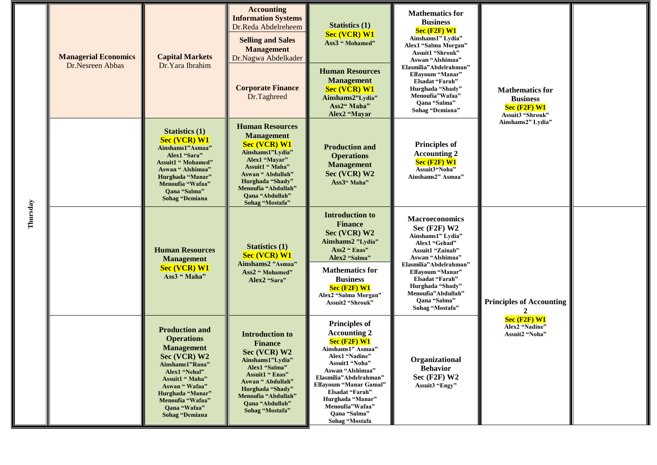| Thursday | <b>Managerial Economics</b><br>Dr.Nesreen Abbas | <b>Capital Markets</b><br>Dr.Yara Ibrahim                                                                                                                                                                                                | <b>Accounting</b><br><b>Information Systems</b><br>Dr.Reda Abdelreheem<br><b>Selling and Sales</b><br><b>Management</b><br>Dr.Nagwa Abdelkader                                                                                  | <b>Statistics (1)</b><br><b>Sec (VCR) W1</b><br>Ass3 "Mohamed"                                                                                                                                                                                                                                      | <b>Mathematics for</b><br><b>Business</b><br>$Sec$ $(F2F)$ W1<br>Ainshams1" Lydia"<br>Alex1 "Salma Morgan"<br><b>Assuit1 "Shrouk"</b><br>Aswan "Alshimaa"                                                                                                           |                                                                                                        |  |
|----------|-------------------------------------------------|------------------------------------------------------------------------------------------------------------------------------------------------------------------------------------------------------------------------------------------|---------------------------------------------------------------------------------------------------------------------------------------------------------------------------------------------------------------------------------|-----------------------------------------------------------------------------------------------------------------------------------------------------------------------------------------------------------------------------------------------------------------------------------------------------|---------------------------------------------------------------------------------------------------------------------------------------------------------------------------------------------------------------------------------------------------------------------|--------------------------------------------------------------------------------------------------------|--|
|          |                                                 |                                                                                                                                                                                                                                          | <b>Corporate Finance</b><br>Dr.Taghreed                                                                                                                                                                                         | <b>Human Resources</b><br><b>Management</b><br><b>Sec (VCR) W1</b><br>Ainshams2"Lydia"<br>Ass2" Maha"<br>Alex2 "Mayar                                                                                                                                                                               | Elasmilia"Abdelrahman"<br>Elfayoum "Manar"<br>Elsadat "Farah"<br>Hurghada "Shady"<br>Menoufia" Wafaa"<br>Qana "Salma"<br>Sohag "Demiana"                                                                                                                            | <b>Mathematics for</b><br><b>Business</b><br>$Sec$ (F2F) $W1$<br>Assuit3 "Shrouk"<br>Ainshams2" Lydia" |  |
|          |                                                 | <b>Statistics (1)</b><br><b>Sec (VCR) W1</b><br>Ainshams1"Asmaa"<br>Alex1 "Sara"<br><b>Assuit1 " Mohamed"</b><br>Aswan "Alshimaa"<br>Hurghada "Manar"<br>Menoufia "Wafaa"<br>Qana "Salma"<br><b>Sohag</b> "Demiana                       | <b>Human Resources</b><br><b>Management</b><br><b>Sec (VCR) W1</b><br>Ainshams1"Lydia"<br>Alex1 "Mayar"<br>Assuit1 " Maha"<br>Aswan "Abdullah"<br>Hurghada "Shady"<br>Menoufia "Abdullah"<br>Qana "Abdullah"<br>Sohag "Mostafa" | <b>Production and</b><br><b>Operations</b><br><b>Management</b><br>Sec (VCR) W2<br>Ass3" Maha"                                                                                                                                                                                                      | <b>Principles of</b><br><b>Accounting 2</b><br>$Sec$ (F2F) $W1$<br>Assuit3"Noha"<br>Ainshams2" Asmaa"                                                                                                                                                               |                                                                                                        |  |
|          |                                                 | <b>Human Resources</b><br><b>Management</b><br><b>Sec (VCR) W1</b><br>Ass3 "Maha"                                                                                                                                                        | <b>Statistics</b> (1)<br><b>Sec (VCR) W1</b><br>Ainshams2 "Asmaa"<br>Ass2 " Mohamed"<br>Alex2 "Sara"                                                                                                                            | <b>Introduction to</b><br><b>Finance</b><br>Sec (VCR) W2<br>Ainshams2 "Lydia"<br>Ass2 " Enas"<br>Alex2 "Salma"<br><b>Mathematics for</b><br><b>Business</b><br>$Sec$ (F2F) $W1$<br>Alex2 "Salma Morgan"<br>Assuit2 "Shrouk"                                                                         | Macroeconomics<br>$Sec$ (F2F) W2<br>Ainshams1" Lydia"<br>Alex1 "Gehad"<br><b>Assuit1 "Zainab"</b><br>Aswan "Alshimaa"<br>Elasmilia"Abdelrahman"<br>Elfayoum "Manar"<br>Elsadat "Farah"<br>Hurghada "Shady"<br>Menoufia"Abdullah"<br>Qana "Salma"<br>Sohag "Mostafa" | <b>Principles of Accounting</b>                                                                        |  |
|          |                                                 | <b>Production and</b><br><b>Operations</b><br><b>Management</b><br>Sec (VCR) W2<br>Ainshams1"Rana"<br>Alex1 "Nehal"<br>Assuit1 " Maha"<br>Aswan "Wafaa"<br>Hurghada "Manar"<br>Menoufia "Wafaa"<br>Qana "Wafaa"<br><b>Sohag</b> "Demiana | <b>Introduction to</b><br><b>Finance</b><br>Sec (VCR) W2<br>Ainshams1"Lydia"<br>Alex1 "Salma"<br><b>Assuit1 " Enas"</b><br>Aswan "Abdullah"<br>Hurghada "Shady"<br>Menoufia "Abdullah"<br>Qana "Abdullah"<br>Sohag "Mostafa"    | <b>Principles of</b><br><b>Accounting 2</b><br>$Sec$ (F2F) $W1$<br>Ainshams1" Asmaa"<br>Alex1 "Nadine"<br>Assuit1 "Noha"<br>Aswan "Alshimaa"<br>Elasmilia"Abdelrahman"<br><b>Elfayoum "Manar Gamal"</b><br>Elsadat "Farah"<br>Hurghada "Manar"<br>Menoufia"Wafaa"<br>Qana "Salma"<br>Sohag "Mostafa | Organizational<br><b>Behavior</b><br>Sec (F2F) W2<br>Assuit3 "Engy"                                                                                                                                                                                                 | $Sec$ $(F2F)$ W1<br>Alex2 "Nadine"<br>Assuit2 "Noha"                                                   |  |

J